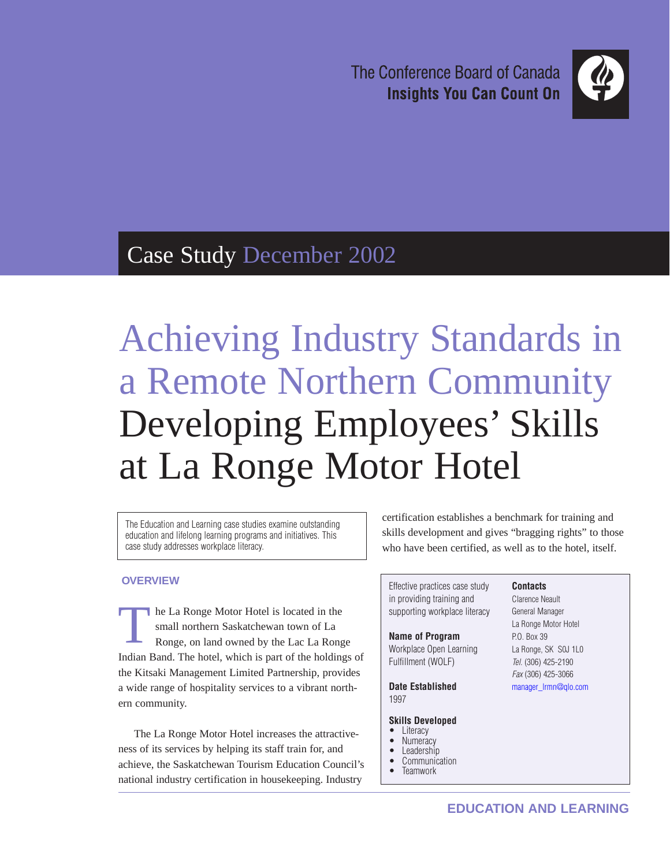The Conference Board of Canada **Insights You Can Count On** 



# Case Study December 2002

Achieving Industry Standards in a Remote Northern Community Developing Employees' Skills at La Ronge Motor Hotel

The Education and Learning case studies examine outstanding education and lifelong learning programs and initiatives. This case study addresses workplace literacy.

# **OVERVIEW**

he La Ronge Motor Hotel is located in the small northern Saskatchewan town of La Ronge, on land owned by the Lac La Ronge Indian Band. The hotel, which is part of the holdings of the Kitsaki Management Limited Partnership, provides a wide range of hospitality services to a vibrant northern community. T

The La Ronge Motor Hotel increases the attractiveness of its services by helping its staff train for, and achieve, the Saskatchewan Tourism Education Council's national industry certification in housekeeping. Industry

certification establishes a benchmark for training and skills development and gives "bragging rights" to those who have been certified, as well as to the hotel, itself.

Effective practices case study in providing training and supporting workplace literacy

#### **Name of Program**

Workplace Open Learning Fulfillment (WOLF)

**Date Established** 1997

#### **Skills Developed**

- **Literacy**
- Numeracy
- **Leadership** • Communication
- **Teamwork**

#### **Contacts** Clarence Neault

General Manager La Ronge Motor Hotel P.O. Box 39 La Ronge, SK S0J 1L0 Tel. (306) 425-2190 Fax (306) 425-3066 [manager\\_lrmn@qlo.com](mailto:manager_lrmn@qlo.com)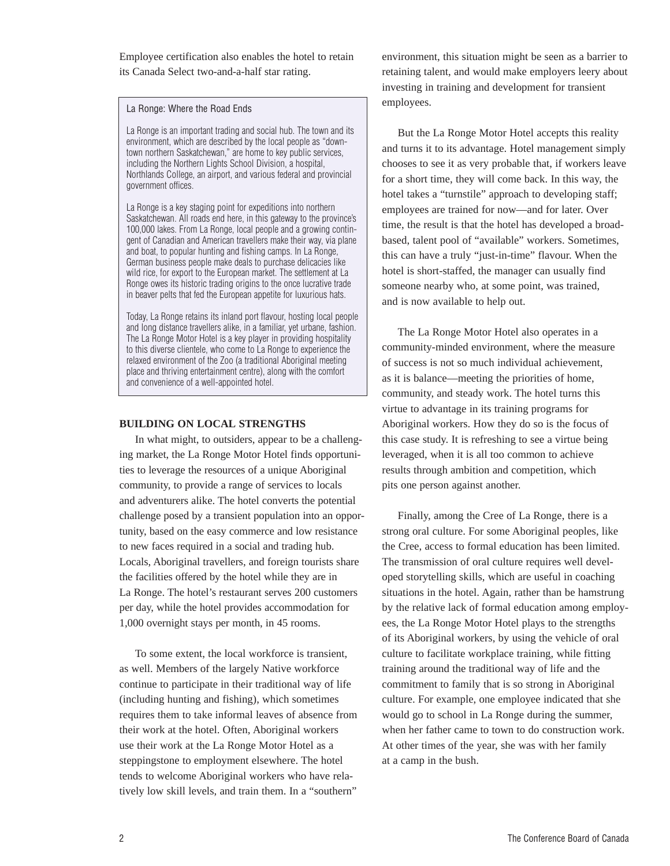Employee certification also enables the hotel to retain its Canada Select two-and-a-half star rating.

#### La Ronge: Where the Road Ends

La Ronge is an important trading and social hub. The town and its environment, which are described by the local people as "downtown northern Saskatchewan," are home to key public services, including the Northern Lights School Division, a hospital, Northlands College, an airport, and various federal and provincial government offices.

La Ronge is a key staging point for expeditions into northern Saskatchewan. All roads end here, in this gateway to the province's 100,000 lakes. From La Ronge, local people and a growing contingent of Canadian and American travellers make their way, via plane and boat, to popular hunting and fishing camps. In La Ronge, German business people make deals to purchase delicacies like wild rice, for export to the European market. The settlement at La Ronge owes its historic trading origins to the once lucrative trade in beaver pelts that fed the European appetite for luxurious hats.

Today, La Ronge retains its inland port flavour, hosting local people and long distance travellers alike, in a familiar, yet urbane, fashion. The La Ronge Motor Hotel is a key player in providing hospitality to this diverse clientele, who come to La Ronge to experience the relaxed environment of the Zoo (a traditional Aboriginal meeting place and thriving entertainment centre), along with the comfort and convenience of a well-appointed hotel.

#### **BUILDING ON LOCAL STRENGTHS**

In what might, to outsiders, appear to be a challenging market, the La Ronge Motor Hotel finds opportunities to leverage the resources of a unique Aboriginal community, to provide a range of services to locals and adventurers alike. The hotel converts the potential challenge posed by a transient population into an opportunity, based on the easy commerce and low resistance to new faces required in a social and trading hub. Locals, Aboriginal travellers, and foreign tourists share the facilities offered by the hotel while they are in La Ronge. The hotel's restaurant serves 200 customers per day, while the hotel provides accommodation for 1,000 overnight stays per month, in 45 rooms.

To some extent, the local workforce is transient, as well. Members of the largely Native workforce continue to participate in their traditional way of life (including hunting and fishing), which sometimes requires them to take informal leaves of absence from their work at the hotel. Often, Aboriginal workers use their work at the La Ronge Motor Hotel as a steppingstone to employment elsewhere. The hotel tends to welcome Aboriginal workers who have relatively low skill levels, and train them. In a "southern"

environment, this situation might be seen as a barrier to retaining talent, and would make employers leery about investing in training and development for transient employees.

But the La Ronge Motor Hotel accepts this reality and turns it to its advantage. Hotel management simply chooses to see it as very probable that, if workers leave for a short time, they will come back. In this way, the hotel takes a "turnstile" approach to developing staff; employees are trained for now—and for later. Over time, the result is that the hotel has developed a broadbased, talent pool of "available" workers. Sometimes, this can have a truly "just-in-time" flavour. When the hotel is short-staffed, the manager can usually find someone nearby who, at some point, was trained, and is now available to help out.

The La Ronge Motor Hotel also operates in a community-minded environment, where the measure of success is not so much individual achievement, as it is balance—meeting the priorities of home, community, and steady work. The hotel turns this virtue to advantage in its training programs for Aboriginal workers. How they do so is the focus of this case study. It is refreshing to see a virtue being leveraged, when it is all too common to achieve results through ambition and competition, which pits one person against another.

Finally, among the Cree of La Ronge, there is a strong oral culture. For some Aboriginal peoples, like the Cree, access to formal education has been limited. The transmission of oral culture requires well developed storytelling skills, which are useful in coaching situations in the hotel. Again, rather than be hamstrung by the relative lack of formal education among employees, the La Ronge Motor Hotel plays to the strengths of its Aboriginal workers, by using the vehicle of oral culture to facilitate workplace training, while fitting training around the traditional way of life and the commitment to family that is so strong in Aboriginal culture. For example, one employee indicated that she would go to school in La Ronge during the summer, when her father came to town to do construction work. At other times of the year, she was with her family at a camp in the bush.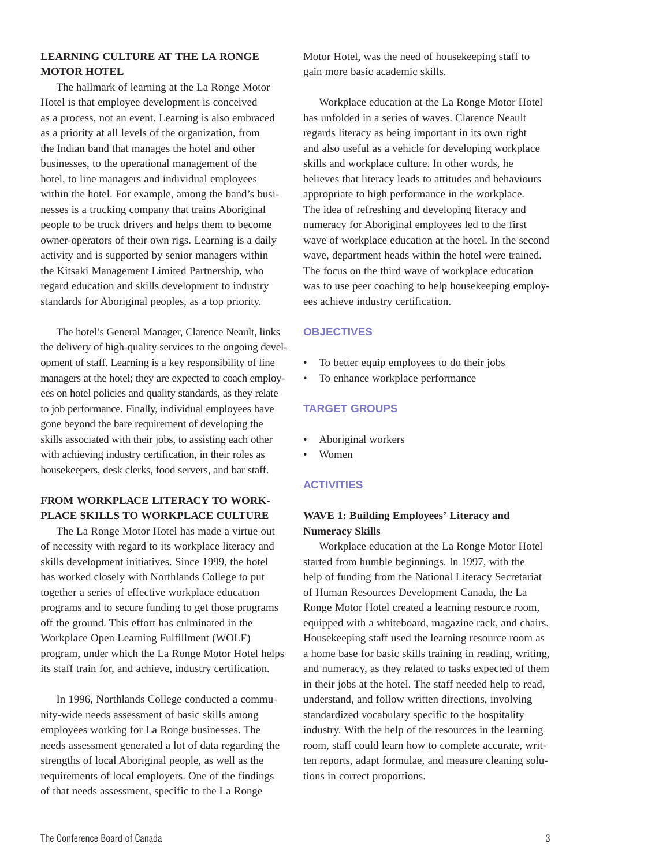# **LEARNING CULTURE AT THE LA RONGE MOTOR HOTEL**

The hallmark of learning at the La Ronge Motor Hotel is that employee development is conceived as a process, not an event. Learning is also embraced as a priority at all levels of the organization, from the Indian band that manages the hotel and other businesses, to the operational management of the hotel, to line managers and individual employees within the hotel. For example, among the band's businesses is a trucking company that trains Aboriginal people to be truck drivers and helps them to become owner-operators of their own rigs. Learning is a daily activity and is supported by senior managers within the Kitsaki Management Limited Partnership, who regard education and skills development to industry standards for Aboriginal peoples, as a top priority.

The hotel's General Manager, Clarence Neault, links the delivery of high-quality services to the ongoing development of staff. Learning is a key responsibility of line managers at the hotel; they are expected to coach employees on hotel policies and quality standards, as they relate to job performance. Finally, individual employees have gone beyond the bare requirement of developing the skills associated with their jobs, to assisting each other with achieving industry certification, in their roles as housekeepers, desk clerks, food servers, and bar staff.

# **FROM WORKPLACE LITERACY TO WORK-PLACE SKILLS TO WORKPLACE CULTURE**

The La Ronge Motor Hotel has made a virtue out of necessity with regard to its workplace literacy and skills development initiatives. Since 1999, the hotel has worked closely with Northlands College to put together a series of effective workplace education programs and to secure funding to get those programs off the ground. This effort has culminated in the Workplace Open Learning Fulfillment (WOLF) program, under which the La Ronge Motor Hotel helps its staff train for, and achieve, industry certification.

In 1996, Northlands College conducted a community-wide needs assessment of basic skills among employees working for La Ronge businesses. The needs assessment generated a lot of data regarding the strengths of local Aboriginal people, as well as the requirements of local employers. One of the findings of that needs assessment, specific to the La Ronge

Motor Hotel, was the need of housekeeping staff to gain more basic academic skills.

Workplace education at the La Ronge Motor Hotel has unfolded in a series of waves. Clarence Neault regards literacy as being important in its own right and also useful as a vehicle for developing workplace skills and workplace culture. In other words, he believes that literacy leads to attitudes and behaviours appropriate to high performance in the workplace. The idea of refreshing and developing literacy and numeracy for Aboriginal employees led to the first wave of workplace education at the hotel. In the second wave, department heads within the hotel were trained. The focus on the third wave of workplace education was to use peer coaching to help housekeeping employees achieve industry certification.

#### **OBJECTIVES**

- To better equip employees to do their jobs
- To enhance workplace performance

#### **TARGET GROUPS**

- Aboriginal workers
- Women

#### **ACTIVITIES**

# **WAVE 1: Building Employees' Literacy and Numeracy Skills**

Workplace education at the La Ronge Motor Hotel started from humble beginnings. In 1997, with the help of funding from the National Literacy Secretariat of Human Resources Development Canada, the La Ronge Motor Hotel created a learning resource room, equipped with a whiteboard, magazine rack, and chairs. Housekeeping staff used the learning resource room as a home base for basic skills training in reading, writing, and numeracy, as they related to tasks expected of them in their jobs at the hotel. The staff needed help to read, understand, and follow written directions, involving standardized vocabulary specific to the hospitality industry. With the help of the resources in the learning room, staff could learn how to complete accurate, written reports, adapt formulae, and measure cleaning solutions in correct proportions.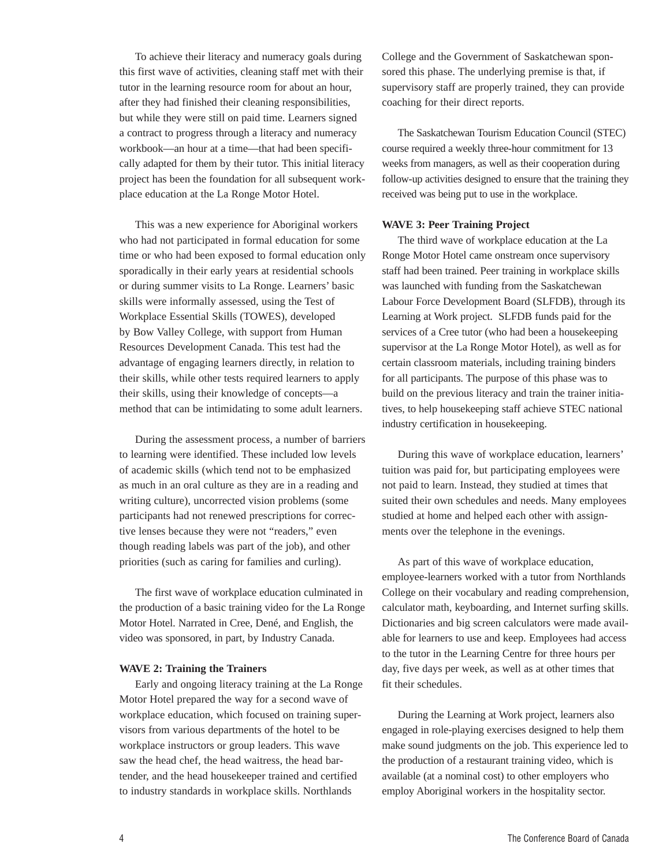To achieve their literacy and numeracy goals during this first wave of activities, cleaning staff met with their tutor in the learning resource room for about an hour, after they had finished their cleaning responsibilities, but while they were still on paid time. Learners signed a contract to progress through a literacy and numeracy workbook—an hour at a time—that had been specifically adapted for them by their tutor. This initial literacy project has been the foundation for all subsequent workplace education at the La Ronge Motor Hotel.

This was a new experience for Aboriginal workers who had not participated in formal education for some time or who had been exposed to formal education only sporadically in their early years at residential schools or during summer visits to La Ronge. Learners' basic skills were informally assessed, using the Test of Workplace Essential Skills (TOWES), developed by Bow Valley College, with support from Human Resources Development Canada. This test had the advantage of engaging learners directly, in relation to their skills, while other tests required learners to apply their skills, using their knowledge of concepts—a method that can be intimidating to some adult learners.

During the assessment process, a number of barriers to learning were identified. These included low levels of academic skills (which tend not to be emphasized as much in an oral culture as they are in a reading and writing culture), uncorrected vision problems (some participants had not renewed prescriptions for corrective lenses because they were not "readers," even though reading labels was part of the job), and other priorities (such as caring for families and curling).

The first wave of workplace education culminated in the production of a basic training video for the La Ronge Motor Hotel. Narrated in Cree, Dené, and English, the video was sponsored, in part, by Industry Canada.

#### **WAVE 2: Training the Trainers**

Early and ongoing literacy training at the La Ronge Motor Hotel prepared the way for a second wave of workplace education, which focused on training supervisors from various departments of the hotel to be workplace instructors or group leaders. This wave saw the head chef, the head waitress, the head bartender, and the head housekeeper trained and certified to industry standards in workplace skills. Northlands

College and the Government of Saskatchewan sponsored this phase. The underlying premise is that, if supervisory staff are properly trained, they can provide coaching for their direct reports.

The Saskatchewan Tourism Education Council (STEC) course required a weekly three-hour commitment for 13 weeks from managers, as well as their cooperation during follow-up activities designed to ensure that the training they received was being put to use in the workplace.

#### **WAVE 3: Peer Training Project**

The third wave of workplace education at the La Ronge Motor Hotel came onstream once supervisory staff had been trained. Peer training in workplace skills was launched with funding from the Saskatchewan Labour Force Development Board (SLFDB), through its Learning at Work project. SLFDB funds paid for the services of a Cree tutor (who had been a housekeeping supervisor at the La Ronge Motor Hotel), as well as for certain classroom materials, including training binders for all participants. The purpose of this phase was to build on the previous literacy and train the trainer initiatives, to help housekeeping staff achieve STEC national industry certification in housekeeping.

During this wave of workplace education, learners' tuition was paid for, but participating employees were not paid to learn. Instead, they studied at times that suited their own schedules and needs. Many employees studied at home and helped each other with assignments over the telephone in the evenings.

As part of this wave of workplace education, employee-learners worked with a tutor from Northlands College on their vocabulary and reading comprehension, calculator math, keyboarding, and Internet surfing skills. Dictionaries and big screen calculators were made available for learners to use and keep. Employees had access to the tutor in the Learning Centre for three hours per day, five days per week, as well as at other times that fit their schedules.

During the Learning at Work project, learners also engaged in role-playing exercises designed to help them make sound judgments on the job. This experience led to the production of a restaurant training video, which is available (at a nominal cost) to other employers who employ Aboriginal workers in the hospitality sector.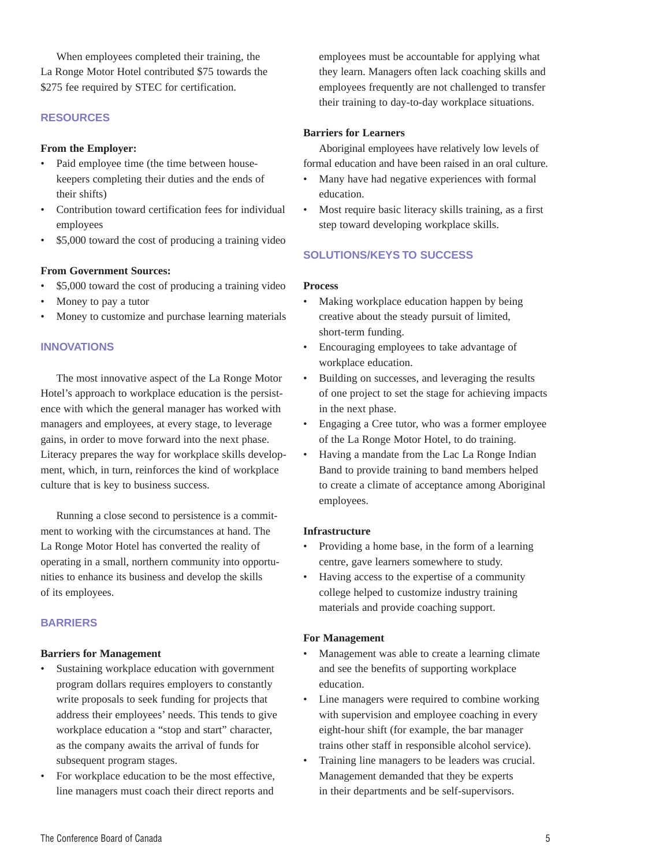When employees completed their training, the La Ronge Motor Hotel contributed \$75 towards the \$275 fee required by STEC for certification.

### **RESOURCES**

#### **From the Employer:**

- Paid employee time (the time between housekeepers completing their duties and the ends of their shifts)
- Contribution toward certification fees for individual employees
- \$5,000 toward the cost of producing a training video

#### **From Government Sources:**

- \$5,000 toward the cost of producing a training video
- Money to pay a tutor
- Money to customize and purchase learning materials

#### **INNOVATIONS**

The most innovative aspect of the La Ronge Motor Hotel's approach to workplace education is the persistence with which the general manager has worked with managers and employees, at every stage, to leverage gains, in order to move forward into the next phase. Literacy prepares the way for workplace skills development, which, in turn, reinforces the kind of workplace culture that is key to business success.

Running a close second to persistence is a commitment to working with the circumstances at hand. The La Ronge Motor Hotel has converted the reality of operating in a small, northern community into opportunities to enhance its business and develop the skills of its employees.

#### **BARRIERS**

#### **Barriers for Management**

- Sustaining workplace education with government program dollars requires employers to constantly write proposals to seek funding for projects that address their employees' needs. This tends to give workplace education a "stop and start" character, as the company awaits the arrival of funds for subsequent program stages.
- For workplace education to be the most effective, line managers must coach their direct reports and

employees must be accountable for applying what they learn. Managers often lack coaching skills and employees frequently are not challenged to transfer their training to day-to-day workplace situations.

#### **Barriers for Learners**

Aboriginal employees have relatively low levels of formal education and have been raised in an oral culture.

- Many have had negative experiences with formal education.
- Most require basic literacy skills training, as a first step toward developing workplace skills.

# **SOLUTIONS/KEYS TO SUCCESS**

#### **Process**

- Making workplace education happen by being creative about the steady pursuit of limited, short-term funding.
- Encouraging employees to take advantage of workplace education.
- Building on successes, and leveraging the results of one project to set the stage for achieving impacts in the next phase.
- Engaging a Cree tutor, who was a former employee of the La Ronge Motor Hotel, to do training.
- Having a mandate from the Lac La Ronge Indian Band to provide training to band members helped to create a climate of acceptance among Aboriginal employees.

#### **Infrastructure**

- Providing a home base, in the form of a learning centre, gave learners somewhere to study.
- Having access to the expertise of a community college helped to customize industry training materials and provide coaching support.

#### **For Management**

- Management was able to create a learning climate and see the benefits of supporting workplace education.
- Line managers were required to combine working with supervision and employee coaching in every eight-hour shift (for example, the bar manager trains other staff in responsible alcohol service).
- Training line managers to be leaders was crucial. Management demanded that they be experts in their departments and be self-supervisors.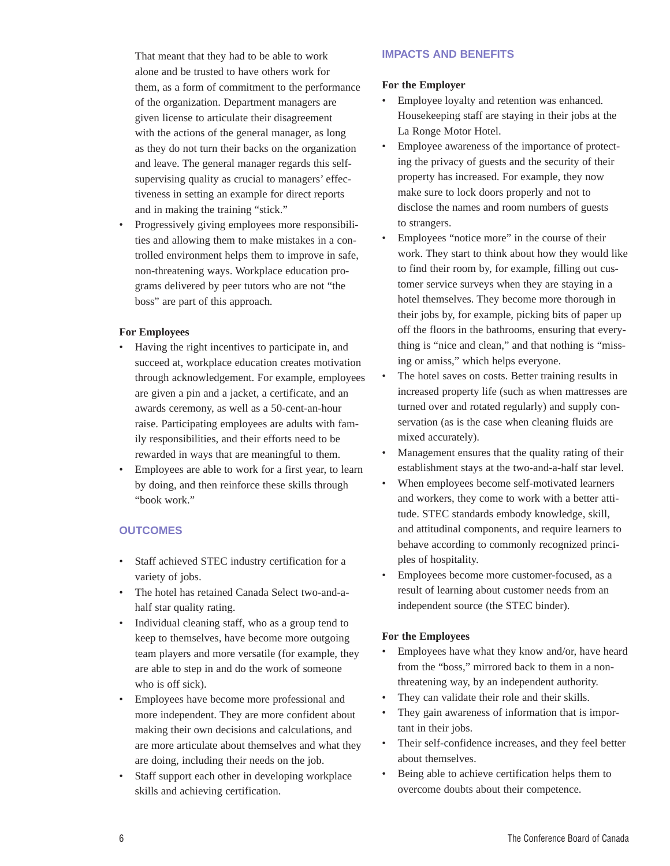That meant that they had to be able to work alone and be trusted to have others work for them, as a form of commitment to the performance of the organization. Department managers are given license to articulate their disagreement with the actions of the general manager, as long as they do not turn their backs on the organization and leave. The general manager regards this selfsupervising quality as crucial to managers' effectiveness in setting an example for direct reports and in making the training "stick."

• Progressively giving employees more responsibilities and allowing them to make mistakes in a controlled environment helps them to improve in safe, non-threatening ways. Workplace education programs delivered by peer tutors who are not "the boss" are part of this approach.

#### **For Employees**

- Having the right incentives to participate in, and succeed at, workplace education creates motivation through acknowledgement. For example, employees are given a pin and a jacket, a certificate, and an awards ceremony, as well as a 50-cent-an-hour raise. Participating employees are adults with family responsibilities, and their efforts need to be rewarded in ways that are meaningful to them.
- Employees are able to work for a first year, to learn by doing, and then reinforce these skills through "book work."

#### **OUTCOMES**

- Staff achieved STEC industry certification for a variety of jobs.
- The hotel has retained Canada Select two-and-ahalf star quality rating.
- Individual cleaning staff, who as a group tend to keep to themselves, have become more outgoing team players and more versatile (for example, they are able to step in and do the work of someone who is off sick).
- Employees have become more professional and more independent. They are more confident about making their own decisions and calculations, and are more articulate about themselves and what they are doing, including their needs on the job.
- Staff support each other in developing workplace skills and achieving certification.

#### **IMPACTS AND BENEFITS**

#### **For the Employer**

- Employee loyalty and retention was enhanced. Housekeeping staff are staying in their jobs at the La Ronge Motor Hotel.
- Employee awareness of the importance of protecting the privacy of guests and the security of their property has increased. For example, they now make sure to lock doors properly and not to disclose the names and room numbers of guests to strangers.
- Employees "notice more" in the course of their work. They start to think about how they would like to find their room by, for example, filling out customer service surveys when they are staying in a hotel themselves. They become more thorough in their jobs by, for example, picking bits of paper up off the floors in the bathrooms, ensuring that everything is "nice and clean," and that nothing is "missing or amiss," which helps everyone.
- The hotel saves on costs. Better training results in increased property life (such as when mattresses are turned over and rotated regularly) and supply conservation (as is the case when cleaning fluids are mixed accurately).
- Management ensures that the quality rating of their establishment stays at the two-and-a-half star level.
- When employees become self-motivated learners and workers, they come to work with a better attitude. STEC standards embody knowledge, skill, and attitudinal components, and require learners to behave according to commonly recognized principles of hospitality.
- Employees become more customer-focused, as a result of learning about customer needs from an independent source (the STEC binder).

#### **For the Employees**

- Employees have what they know and/or, have heard from the "boss," mirrored back to them in a nonthreatening way, by an independent authority.
- They can validate their role and their skills.
- They gain awareness of information that is important in their jobs.
- Their self-confidence increases, and they feel better about themselves.
- Being able to achieve certification helps them to overcome doubts about their competence.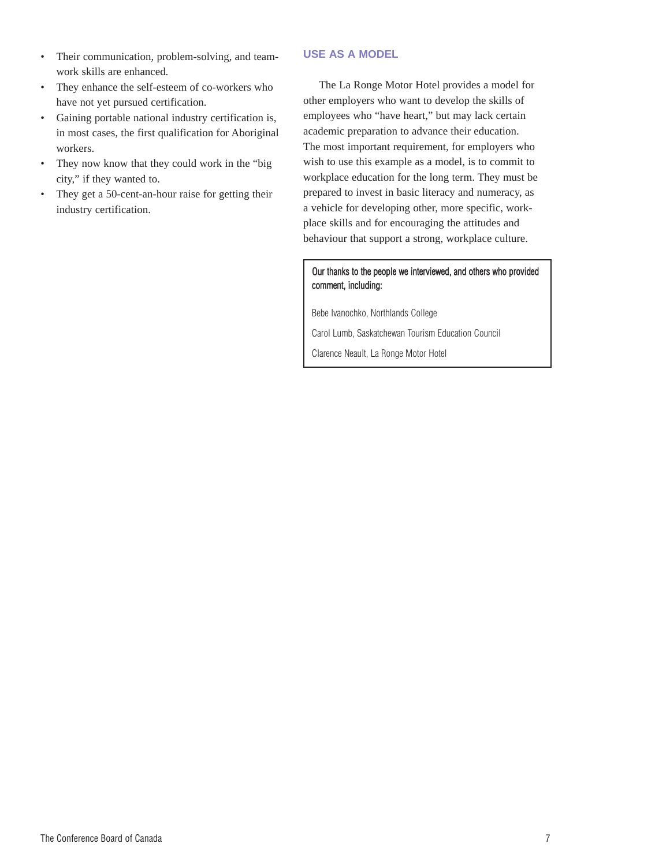- Their communication, problem-solving, and teamwork skills are enhanced.
- They enhance the self-esteem of co-workers who have not yet pursued certification.
- Gaining portable national industry certification is, in most cases, the first qualification for Aboriginal workers.
- They now know that they could work in the "big" city," if they wanted to.
- They get a 50-cent-an-hour raise for getting their industry certification.

## **USE AS A MODEL**

The La Ronge Motor Hotel provides a model for other employers who want to develop the skills of employees who "have heart," but may lack certain academic preparation to advance their education. The most important requirement, for employers who wish to use this example as a model, is to commit to workplace education for the long term. They must be prepared to invest in basic literacy and numeracy, as a vehicle for developing other, more specific, workplace skills and for encouraging the attitudes and behaviour that support a strong, workplace culture.

# Our thanks to the people we interviewed, and others who provided comment, including:

Bebe Ivanochko, Northlands College

Carol Lumb, Saskatchewan Tourism Education Council

Clarence Neault, La Ronge Motor Hotel